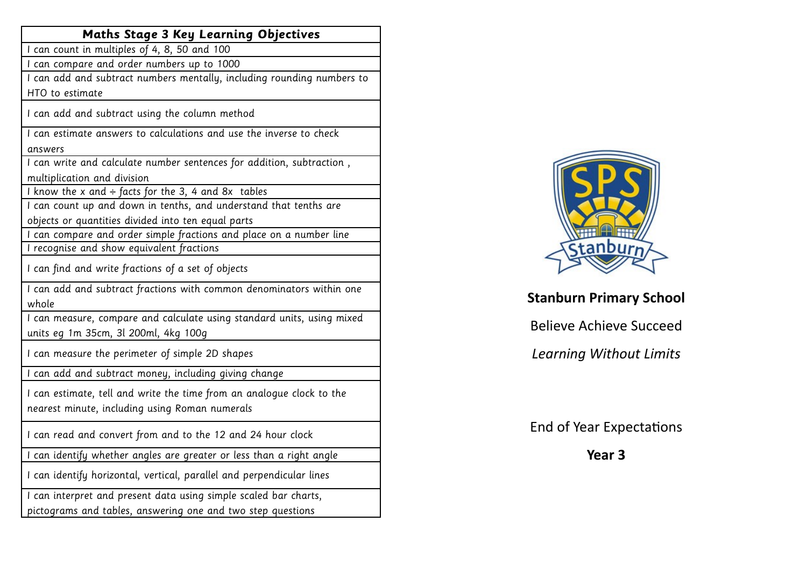| <b>Maths Stage 3 Key Learning Objectives</b>                           |
|------------------------------------------------------------------------|
| I can count in multiples of 4, 8, 50 and 100                           |
| I can compare and order numbers up to 1000                             |
| I can add and subtract numbers mentally, including rounding numbers to |
| HTO to estimate                                                        |
| I can add and subtract using the column method                         |
| I can estimate answers to calculations and use the inverse to check    |
| answers                                                                |
| I can write and calculate number sentences for addition, subtraction,  |
| multiplication and division                                            |
| I know the x and $\div$ facts for the 3, 4 and 8x tables               |
| I can count up and down in tenths, and understand that tenths are      |
| objects or quantities divided into ten equal parts                     |
| I can compare and order simple fractions and place on a number line    |
| I recognise and show equivalent fractions                              |
| I can find and write fractions of a set of objects                     |
| I can add and subtract fractions with common denominators within one   |
| whole                                                                  |
| I can measure, compare and calculate using standard units, using mixed |
| units eg 1m 35cm, 3l 200ml, 4kg 100g                                   |
| I can measure the perimeter of simple 2D shapes                        |
| I can add and subtract money, including giving change                  |
| I can estimate, tell and write the time from an analogue clock to the  |
| nearest minute, including using Roman numerals                         |
|                                                                        |
| I can read and convert from and to the 12 and 24 hour clock            |
| can identify whether angles are greater or less than a right angle     |
| I can identify horizontal, vertical, parallel and perpendicular lines  |
| I can interpret and present data using simple scaled bar charts,       |
| pictograms and tables, answering one and two step questions            |
|                                                                        |



## **Stanburn Primary School**

Believe Achieve Succeed

*Learning Without Limits* 

End of Year Expectations

**Year 3**